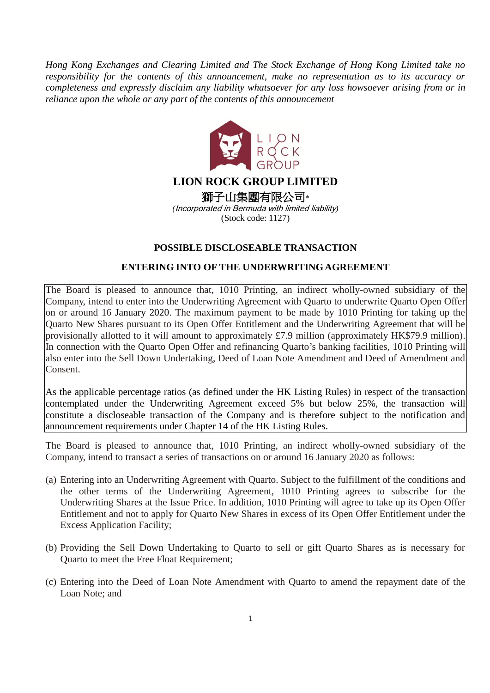*Hong Kong Exchanges and Clearing Limited and The Stock Exchange of Hong Kong Limited take no responsibility for the contents of this announcement, make no representation as to its accuracy or completeness and expressly disclaim any liability whatsoever for any loss howsoever arising from or in reliance upon the whole or any part of the contents of this announcement*



# **LION ROCK GROUP LIMITED**

獅子山集團有限公司\* *(*Incorporated in Bermuda with limited liability*)* (Stock code: 1127)

# **POSSIBLE DISCLOSEABLE TRANSACTION**

# **ENTERING INTO OF THE UNDERWRITING AGREEMENT**

The Board is pleased to announce that, 1010 Printing, an indirect wholly-owned subsidiary of the Company, intend to enter into the Underwriting Agreement with Quarto to underwrite Quarto Open Offer on or around 16 January 2020. The maximum payment to be made by 1010 Printing for taking up the Quarto New Shares pursuant to its Open Offer Entitlement and the Underwriting Agreement that will be provisionally allotted to it will amount to approximately £7.9 million (approximately HK\$79.9 million). In connection with the Quarto Open Offer and refinancing Quarto's banking facilities, 1010 Printing will also enter into the Sell Down Undertaking, Deed of Loan Note Amendment and Deed of Amendment and Consent.

As the applicable percentage ratios (as defined under the HK Listing Rules) in respect of the transaction contemplated under the Underwriting Agreement exceed 5% but below 25%, the transaction will constitute a discloseable transaction of the Company and is therefore subject to the notification and announcement requirements under Chapter 14 of the HK Listing Rules.

The Board is pleased to announce that, 1010 Printing, an indirect wholly-owned subsidiary of the Company, intend to transact a series of transactions on or around 16 January 2020 as follows:

- (a) Entering into an Underwriting Agreement with Quarto. Subject to the fulfillment of the conditions and the other terms of the Underwriting Agreement, 1010 Printing agrees to subscribe for the Underwriting Shares at the Issue Price. In addition, 1010 Printing will agree to take up its Open Offer Entitlement and not to apply for Quarto New Shares in excess of its Open Offer Entitlement under the Excess Application Facility;
- (b) Providing the Sell Down Undertaking to Quarto to sell or gift Quarto Shares as is necessary for Quarto to meet the Free Float Requirement;
- (c) Entering into the Deed of Loan Note Amendment with Quarto to amend the repayment date of the Loan Note; and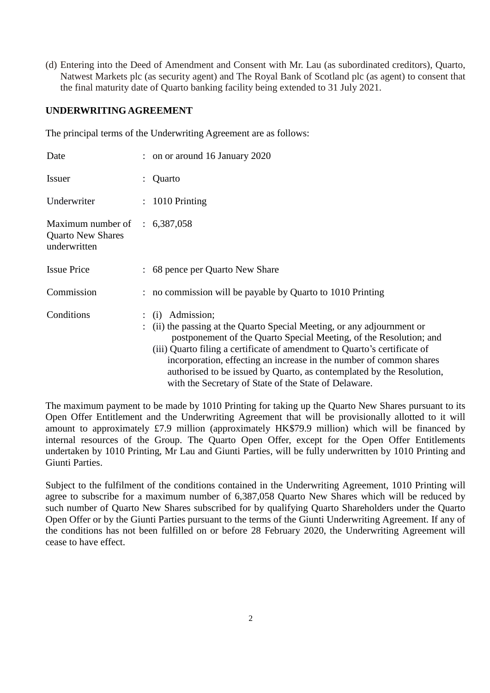(d) Entering into the Deed of Amendment and Consent with Mr. Lau (as subordinated creditors), Quarto, Natwest Markets plc (as security agent) and The Royal Bank of Scotland plc (as agent) to consent that the final maturity date of Quarto banking facility being extended to 31 July 2021.

# **UNDERWRITING AGREEMENT**

The principal terms of the Underwriting Agreement are as follows:

| Date                                                                                 | $:$ on or around 16 January 2020                                                                                                                                                                                                                                                                                                                                                                                                                                 |
|--------------------------------------------------------------------------------------|------------------------------------------------------------------------------------------------------------------------------------------------------------------------------------------------------------------------------------------------------------------------------------------------------------------------------------------------------------------------------------------------------------------------------------------------------------------|
| <b>Issuer</b>                                                                        | Quarto                                                                                                                                                                                                                                                                                                                                                                                                                                                           |
| Underwriter                                                                          | $: 1010$ Printing                                                                                                                                                                                                                                                                                                                                                                                                                                                |
| Maximum number of $\therefore$ 6,387,058<br><b>Quarto New Shares</b><br>underwritten |                                                                                                                                                                                                                                                                                                                                                                                                                                                                  |
| <b>Issue Price</b>                                                                   | : 68 pence per Quarto New Share                                                                                                                                                                                                                                                                                                                                                                                                                                  |
| Commission                                                                           | : no commission will be payable by Quarto to 1010 Printing                                                                                                                                                                                                                                                                                                                                                                                                       |
| Conditions                                                                           | $\therefore$ (i) Admission;<br>(ii) the passing at the Quarto Special Meeting, or any adjournment or<br>postponement of the Quarto Special Meeting, of the Resolution; and<br>(iii) Quarto filing a certificate of amendment to Quarto's certificate of<br>incorporation, effecting an increase in the number of common shares<br>authorised to be issued by Quarto, as contemplated by the Resolution,<br>with the Secretary of State of the State of Delaware. |

The maximum payment to be made by 1010 Printing for taking up the Quarto New Shares pursuant to its Open Offer Entitlement and the Underwriting Agreement that will be provisionally allotted to it will amount to approximately £7.9 million (approximately HK\$79.9 million) which will be financed by internal resources of the Group. The Quarto Open Offer, except for the Open Offer Entitlements undertaken by 1010 Printing, Mr Lau and Giunti Parties, will be fully underwritten by 1010 Printing and Giunti Parties.

Subject to the fulfilment of the conditions contained in the Underwriting Agreement, 1010 Printing will agree to subscribe for a maximum number of 6,387,058 Quarto New Shares which will be reduced by such number of Quarto New Shares subscribed for by qualifying Quarto Shareholders under the Quarto Open Offer or by the Giunti Parties pursuant to the terms of the Giunti Underwriting Agreement. If any of the conditions has not been fulfilled on or before 28 February 2020, the Underwriting Agreement will cease to have effect.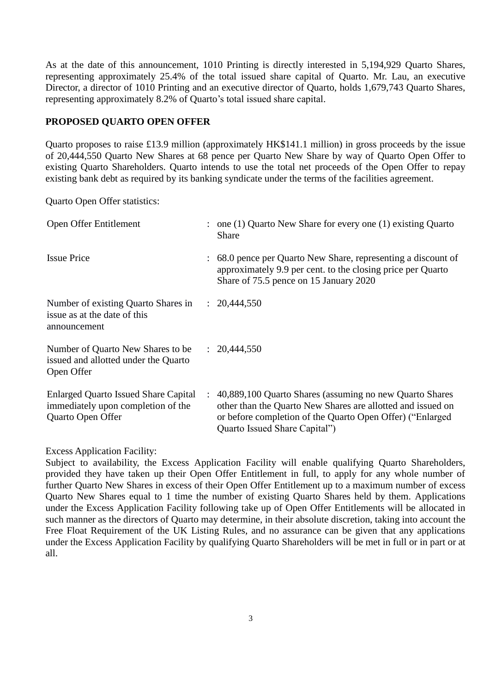As at the date of this announcement, 1010 Printing is directly interested in 5,194,929 Quarto Shares, representing approximately 25.4% of the total issued share capital of Quarto. Mr. Lau, an executive Director, a director of 1010 Printing and an executive director of Quarto, holds 1,679,743 Quarto Shares, representing approximately 8.2% of Quarto's total issued share capital.

#### **PROPOSED QUARTO OPEN OFFER**

Quarto proposes to raise £13.9 million (approximately HK\$141.1 million) in gross proceeds by the issue of 20,444,550 Quarto New Shares at 68 pence per Quarto New Share by way of Quarto Open Offer to existing Quarto Shareholders. Quarto intends to use the total net proceeds of the Open Offer to repay existing bank debt as required by its banking syndicate under the terms of the facilities agreement.

Quarto Open Offer statistics:

| Open Offer Entitlement                                                                                 |                      | $\therefore$ one (1) Quarto New Share for every one (1) existing Quarto<br><b>Share</b>                                                                                                                               |
|--------------------------------------------------------------------------------------------------------|----------------------|-----------------------------------------------------------------------------------------------------------------------------------------------------------------------------------------------------------------------|
| <b>Issue Price</b>                                                                                     |                      | : 68.0 pence per Quarto New Share, representing a discount of<br>approximately 9.9 per cent. to the closing price per Quarto<br>Share of 75.5 pence on 15 January 2020                                                |
| Number of existing Quarto Shares in<br>issue as at the date of this<br>announcement                    |                      | : 20,444,550                                                                                                                                                                                                          |
| Number of Quarto New Shares to be<br>issued and allotted under the Quarto<br>Open Offer                |                      | : 20,444,550                                                                                                                                                                                                          |
| <b>Enlarged Quarto Issued Share Capital</b><br>immediately upon completion of the<br>Quarto Open Offer | $\ddot{\phantom{0}}$ | 40,889,100 Quarto Shares (assuming no new Quarto Shares<br>other than the Quarto New Shares are allotted and issued on<br>or before completion of the Quarto Open Offer) ("Enlarged"<br>Quarto Issued Share Capital") |

Excess Application Facility:

Subject to availability, the Excess Application Facility will enable qualifying Quarto Shareholders, provided they have taken up their Open Offer Entitlement in full, to apply for any whole number of further Quarto New Shares in excess of their Open Offer Entitlement up to a maximum number of excess Quarto New Shares equal to 1 time the number of existing Quarto Shares held by them. Applications under the Excess Application Facility following take up of Open Offer Entitlements will be allocated in such manner as the directors of Quarto may determine, in their absolute discretion, taking into account the Free Float Requirement of the UK Listing Rules, and no assurance can be given that any applications under the Excess Application Facility by qualifying Quarto Shareholders will be met in full or in part or at all.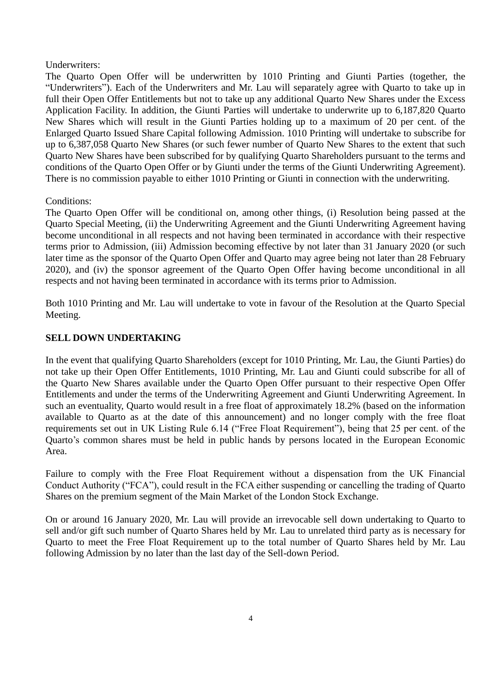#### Underwriters:

The Quarto Open Offer will be underwritten by 1010 Printing and Giunti Parties (together, the "Underwriters"). Each of the Underwriters and Mr. Lau will separately agree with Quarto to take up in full their Open Offer Entitlements but not to take up any additional Quarto New Shares under the Excess Application Facility. In addition, the Giunti Parties will undertake to underwrite up to 6,187,820 Quarto New Shares which will result in the Giunti Parties holding up to a maximum of 20 per cent. of the Enlarged Quarto Issued Share Capital following Admission. 1010 Printing will undertake to subscribe for up to 6,387,058 Quarto New Shares (or such fewer number of Quarto New Shares to the extent that such Quarto New Shares have been subscribed for by qualifying Quarto Shareholders pursuant to the terms and conditions of the Quarto Open Offer or by Giunti under the terms of the Giunti Underwriting Agreement). There is no commission payable to either 1010 Printing or Giunti in connection with the underwriting.

### Conditions:

The Quarto Open Offer will be conditional on, among other things, (i) Resolution being passed at the Quarto Special Meeting, (ii) the Underwriting Agreement and the Giunti Underwriting Agreement having become unconditional in all respects and not having been terminated in accordance with their respective terms prior to Admission, (iii) Admission becoming effective by not later than 31 January 2020 (or such later time as the sponsor of the Quarto Open Offer and Quarto may agree being not later than 28 February 2020), and (iv) the sponsor agreement of the Quarto Open Offer having become unconditional in all respects and not having been terminated in accordance with its terms prior to Admission.

Both 1010 Printing and Mr. Lau will undertake to vote in favour of the Resolution at the Quarto Special Meeting.

# **SELL DOWN UNDERTAKING**

In the event that qualifying Quarto Shareholders (except for 1010 Printing, Mr. Lau, the Giunti Parties) do not take up their Open Offer Entitlements, 1010 Printing, Mr. Lau and Giunti could subscribe for all of the Quarto New Shares available under the Quarto Open Offer pursuant to their respective Open Offer Entitlements and under the terms of the Underwriting Agreement and Giunti Underwriting Agreement. In such an eventuality, Quarto would result in a free float of approximately 18.2% (based on the information available to Quarto as at the date of this announcement) and no longer comply with the free float requirements set out in UK Listing Rule 6.14 ("Free Float Requirement"), being that 25 per cent. of the Quarto's common shares must be held in public hands by persons located in the European Economic Area.

Failure to comply with the Free Float Requirement without a dispensation from the UK Financial Conduct Authority ("FCA"), could result in the FCA either suspending or cancelling the trading of Quarto Shares on the premium segment of the Main Market of the London Stock Exchange.

On or around 16 January 2020, Mr. Lau will provide an irrevocable sell down undertaking to Quarto to sell and/or gift such number of Quarto Shares held by Mr. Lau to unrelated third party as is necessary for Quarto to meet the Free Float Requirement up to the total number of Quarto Shares held by Mr. Lau following Admission by no later than the last day of the Sell-down Period.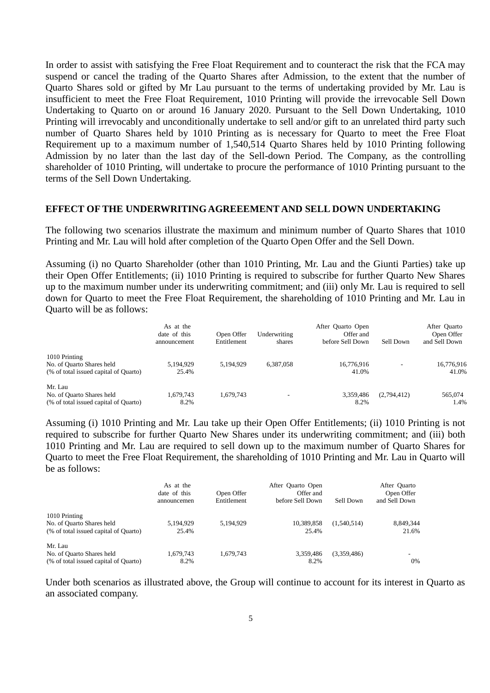In order to assist with satisfying the Free Float Requirement and to counteract the risk that the FCA may suspend or cancel the trading of the Quarto Shares after Admission, to the extent that the number of Quarto Shares sold or gifted by Mr Lau pursuant to the terms of undertaking provided by Mr. Lau is insufficient to meet the Free Float Requirement, 1010 Printing will provide the irrevocable Sell Down Undertaking to Quarto on or around 16 January 2020. Pursuant to the Sell Down Undertaking, 1010 Printing will irrevocably and unconditionally undertake to sell and/or gift to an unrelated third party such number of Quarto Shares held by 1010 Printing as is necessary for Quarto to meet the Free Float Requirement up to a maximum number of 1,540,514 Quarto Shares held by 1010 Printing following Admission by no later than the last day of the Sell-down Period. The Company, as the controlling shareholder of 1010 Printing, will undertake to procure the performance of 1010 Printing pursuant to the terms of the Sell Down Undertaking.

#### **EFFECT OF THE UNDERWRITING AGREEEMENT AND SELL DOWN UNDERTAKING**

The following two scenarios illustrate the maximum and minimum number of Quarto Shares that 1010 Printing and Mr. Lau will hold after completion of the Quarto Open Offer and the Sell Down.

Assuming (i) no Quarto Shareholder (other than 1010 Printing, Mr. Lau and the Giunti Parties) take up their Open Offer Entitlements; (ii) 1010 Printing is required to subscribe for further Quarto New Shares up to the maximum number under its underwriting commitment; and (iii) only Mr. Lau is required to sell down for Quarto to meet the Free Float Requirement, the shareholding of 1010 Printing and Mr. Lau in Quarto will be as follows:

|                                                                                     | As at the<br>date of this<br>announcement | Open Offer<br>Entitlement | Underwriting<br>shares | After Quarto Open<br>Offer and<br>before Sell Down | Sell Down   | After Quarto<br>Open Offer<br>and Sell Down |
|-------------------------------------------------------------------------------------|-------------------------------------------|---------------------------|------------------------|----------------------------------------------------|-------------|---------------------------------------------|
| 1010 Printing<br>No. of Quarto Shares held<br>(% of total issued capital of Quarto) | 5.194.929<br>25.4%                        | 5.194.929                 | 6.387.058              | 16,776,916<br>41.0%                                |             | 16,776,916<br>41.0%                         |
| Mr. Lau<br>No. of Quarto Shares held<br>(% of total issued capital of Quarto)       | 1.679.743<br>8.2%                         | 1,679,743                 |                        | 3.359.486<br>8.2%                                  | (2,794,412) | 565,074<br>1.4%                             |

Assuming (i) 1010 Printing and Mr. Lau take up their Open Offer Entitlements; (ii) 1010 Printing is not required to subscribe for further Quarto New Shares under its underwriting commitment; and (iii) both 1010 Printing and Mr. Lau are required to sell down up to the maximum number of Quarto Shares for Quarto to meet the Free Float Requirement, the shareholding of 1010 Printing and Mr. Lau in Quarto will be as follows:

|                                       | As at the<br>date of this<br>announcemen | Open Offer<br>Entitlement | After Quarto Open<br>Offer and<br>before Sell Down | Sell Down   | After Quarto<br>Open Offer<br>and Sell Down |
|---------------------------------------|------------------------------------------|---------------------------|----------------------------------------------------|-------------|---------------------------------------------|
| 1010 Printing                         |                                          |                           |                                                    |             |                                             |
| No. of Quarto Shares held             | 5,194,929                                | 5,194,929                 | 10.389.858                                         | (1,540,514) | 8,849,344                                   |
| (% of total issued capital of Quarto) | 25.4%                                    |                           | 25.4%                                              |             | 21.6%                                       |
| Mr. Lau                               |                                          |                           |                                                    |             |                                             |
| No. of Quarto Shares held             | 1,679,743                                | 1.679.743                 | 3.359.486                                          | (3,359,486) |                                             |
| (% of total issued capital of Quarto) | 8.2%                                     |                           | 8.2%                                               |             | 0%                                          |

Under both scenarios as illustrated above, the Group will continue to account for its interest in Quarto as an associated company.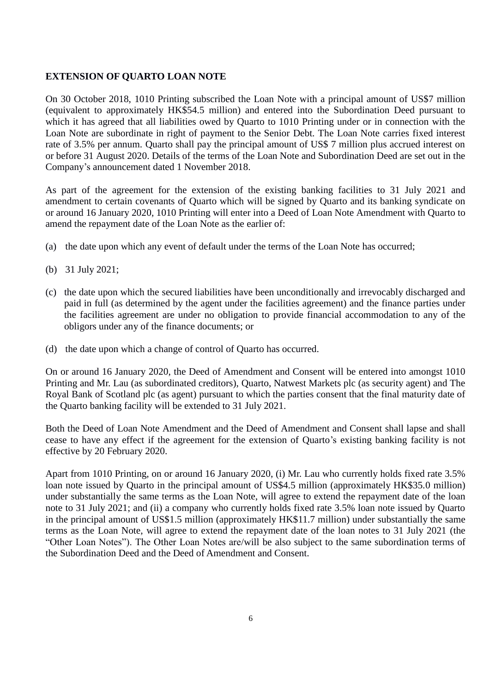#### **EXTENSION OF QUARTO LOAN NOTE**

On 30 October 2018, 1010 Printing subscribed the Loan Note with a principal amount of US\$7 million (equivalent to approximately HK\$54.5 million) and entered into the Subordination Deed pursuant to which it has agreed that all liabilities owed by Quarto to 1010 Printing under or in connection with the Loan Note are subordinate in right of payment to the Senior Debt. The Loan Note carries fixed interest rate of 3.5% per annum. Quarto shall pay the principal amount of US\$ 7 million plus accrued interest on or before 31 August 2020. Details of the terms of the Loan Note and Subordination Deed are set out in the Company's announcement dated 1 November 2018.

As part of the agreement for the extension of the existing banking facilities to 31 July 2021 and amendment to certain covenants of Quarto which will be signed by Quarto and its banking syndicate on or around 16 January 2020, 1010 Printing will enter into a Deed of Loan Note Amendment with Quarto to amend the repayment date of the Loan Note as the earlier of:

- (a) the date upon which any event of default under the terms of the Loan Note has occurred;
- (b) 31 July 2021;
- (c) the date upon which the secured liabilities have been unconditionally and irrevocably discharged and paid in full (as determined by the agent under the facilities agreement) and the finance parties under the facilities agreement are under no obligation to provide financial accommodation to any of the obligors under any of the finance documents; or
- (d) the date upon which a change of control of Quarto has occurred.

On or around 16 January 2020, the Deed of Amendment and Consent will be entered into amongst 1010 Printing and Mr. Lau (as subordinated creditors), Quarto, Natwest Markets plc (as security agent) and The Royal Bank of Scotland plc (as agent) pursuant to which the parties consent that the final maturity date of the Quarto banking facility will be extended to 31 July 2021.

Both the Deed of Loan Note Amendment and the Deed of Amendment and Consent shall lapse and shall cease to have any effect if the agreement for the extension of Quarto's existing banking facility is not effective by 20 February 2020.

Apart from 1010 Printing, on or around 16 January 2020, (i) Mr. Lau who currently holds fixed rate 3.5% loan note issued by Quarto in the principal amount of US\$4.5 million (approximately HK\$35.0 million) under substantially the same terms as the Loan Note, will agree to extend the repayment date of the loan note to 31 July 2021; and (ii) a company who currently holds fixed rate 3.5% loan note issued by Quarto in the principal amount of US\$1.5 million (approximately HK\$11.7 million) under substantially the same terms as the Loan Note, will agree to extend the repayment date of the loan notes to 31 July 2021 (the "Other Loan Notes"). The Other Loan Notes are/will be also subject to the same subordination terms of the Subordination Deed and the Deed of Amendment and Consent.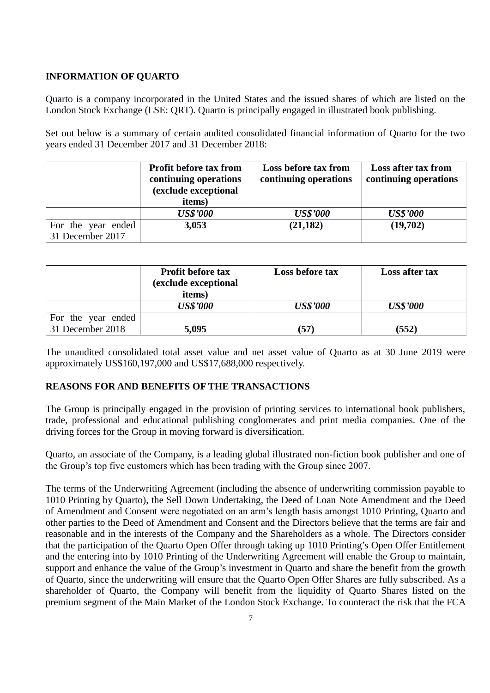### **INFORMATION OF QUARTO**

Quarto is a company incorporated in the United States and the issued shares of which are listed on the London Stock Exchange (LSE: QRT). Quarto is principally engaged in illustrated book publishing.

Set out below is a summary of certain audited consolidated financial information of Quarto for the two years ended 31 December 2017 and 31 December 2018:

|                    | <b>Profit before tax from</b> | Loss before tax from  | Loss after tax from   |
|--------------------|-------------------------------|-----------------------|-----------------------|
|                    | continuing operations         | continuing operations | continuing operations |
|                    | (exclude exceptional          |                       |                       |
|                    | items)                        |                       |                       |
|                    | <b>US\$'000</b>               | <b>US\$'000</b>       | <b>US\$'000</b>       |
| For the year ended | 3,053                         | (21, 182)             | (19,702)              |
| 31 December 2017   |                               |                       |                       |

|                    | <b>Profit before tax</b><br>(exclude exceptional<br>items) | Loss before tax | Loss after tax  |
|--------------------|------------------------------------------------------------|-----------------|-----------------|
|                    | <b>US\$'000</b>                                            | <b>US\$'000</b> | <b>US\$'000</b> |
| For the year ended |                                                            |                 |                 |
| 31 December 2018   | 5,095                                                      | (57)            | (552)           |

The unaudited consolidated total asset value and net asset value of Quarto as at 30 June 2019 were approximately US\$160,197,000 and US\$17,688,000 respectively.

### **REASONS FOR AND BENEFITS OF THE TRANSACTIONS**

The Group is principally engaged in the provision of printing services to international book publishers, trade, professional and educational publishing conglomerates and print media companies. One of the driving forces for the Group in moving forward is diversification.

Quarto, an associate of the Company, is a leading global illustrated non-fiction book publisher and one of the Group's top five customers which has been trading with the Group since 2007.

The terms of the Underwriting Agreement (including the absence of underwriting commission payable to 1010 Printing by Quarto), the Sell Down Undertaking, the Deed of Loan Note Amendment and the Deed of Amendment and Consent were negotiated on an arm's length basis amongst 1010 Printing, Quarto and other parties to the Deed of Amendment and Consent and the Directors believe that the terms are fair and reasonable and in the interests of the Company and the Shareholders as a whole. The Directors consider that the participation of the Quarto Open Offer through taking up 1010 Printing's Open Offer Entitlement and the entering into by 1010 Printing of the Underwriting Agreement will enable the Group to maintain, support and enhance the value of the Group's investment in Quarto and share the benefit from the growth of Quarto, since the underwriting will ensure that the Quarto Open Offer Shares are fully subscribed. As a shareholder of Quarto, the Company will benefit from the liquidity of Quarto Shares listed on the premium segment of the Main Market of the London Stock Exchange. To counteract the risk that the FCA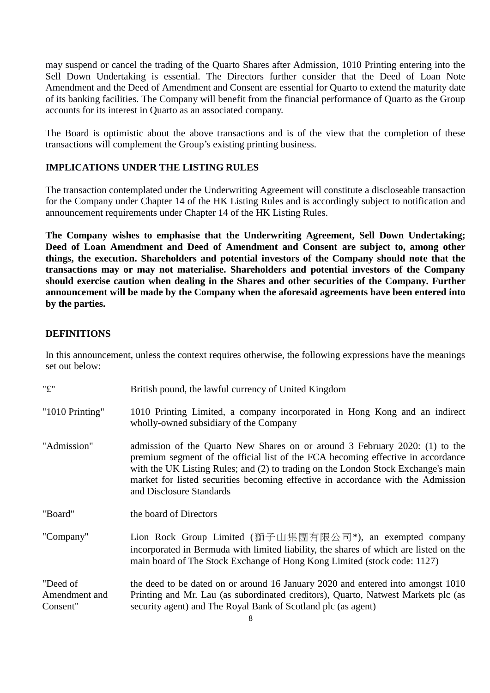may suspend or cancel the trading of the Quarto Shares after Admission, 1010 Printing entering into the Sell Down Undertaking is essential. The Directors further consider that the Deed of Loan Note Amendment and the Deed of Amendment and Consent are essential for Quarto to extend the maturity date of its banking facilities. The Company will benefit from the financial performance of Quarto as the Group accounts for its interest in Quarto as an associated company.

The Board is optimistic about the above transactions and is of the view that the completion of these transactions will complement the Group's existing printing business.

# **IMPLICATIONS UNDER THE LISTING RULES**

The transaction contemplated under the Underwriting Agreement will constitute a discloseable transaction for the Company under Chapter 14 of the HK Listing Rules and is accordingly subject to notification and announcement requirements under Chapter 14 of the HK Listing Rules.

**The Company wishes to emphasise that the Underwriting Agreement, Sell Down Undertaking; Deed of Loan Amendment and Deed of Amendment and Consent are subject to, among other things, the execution. Shareholders and potential investors of the Company should note that the transactions may or may not materialise. Shareholders and potential investors of the Company should exercise caution when dealing in the Shares and other securities of the Company. Further announcement will be made by the Company when the aforesaid agreements have been entered into by the parties.**

#### **DEFINITIONS**

In this announcement, unless the context requires otherwise, the following expressions have the meanings set out below:

| "£"                                   | British pound, the lawful currency of United Kingdom                                                                                                                                                                                                                                                                                                                 |
|---------------------------------------|----------------------------------------------------------------------------------------------------------------------------------------------------------------------------------------------------------------------------------------------------------------------------------------------------------------------------------------------------------------------|
| "1010 Printing"                       | 1010 Printing Limited, a company incorporated in Hong Kong and an indirect<br>wholly-owned subsidiary of the Company                                                                                                                                                                                                                                                 |
| "Admission"                           | admission of the Quarto New Shares on or around 3 February 2020: (1) to the<br>premium segment of the official list of the FCA becoming effective in accordance<br>with the UK Listing Rules; and (2) to trading on the London Stock Exchange's main<br>market for listed securities becoming effective in accordance with the Admission<br>and Disclosure Standards |
| "Board"                               | the board of Directors                                                                                                                                                                                                                                                                                                                                               |
| "Company"                             | Lion Rock Group Limited (獅子山集團有限公司*), an exempted company<br>incorporated in Bermuda with limited liability, the shares of which are listed on the<br>main board of The Stock Exchange of Hong Kong Limited (stock code: 1127)                                                                                                                                       |
| "Deed of<br>Amendment and<br>Consent" | the deed to be dated on or around 16 January 2020 and entered into amongst 1010<br>Printing and Mr. Lau (as subordinated creditors), Quarto, Natwest Markets plc (as<br>security agent) and The Royal Bank of Scotland plc (as agent)                                                                                                                                |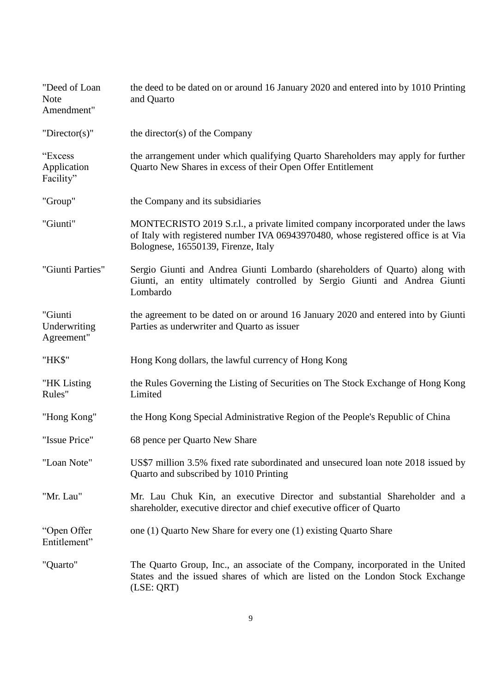| "Deed of Loan<br><b>Note</b><br>Amendment" | the deed to be dated on or around 16 January 2020 and entered into by 1010 Printing<br>and Quarto                                                                                                           |
|--------------------------------------------|-------------------------------------------------------------------------------------------------------------------------------------------------------------------------------------------------------------|
| "Director(s)"                              | the director(s) of the Company                                                                                                                                                                              |
| "Excess<br>Application<br>Facility"        | the arrangement under which qualifying Quarto Shareholders may apply for further<br>Quarto New Shares in excess of their Open Offer Entitlement                                                             |
| "Group"                                    | the Company and its subsidiaries                                                                                                                                                                            |
| "Giunti"                                   | MONTECRISTO 2019 S.r.l., a private limited company incorporated under the laws<br>of Italy with registered number IVA 06943970480, whose registered office is at Via<br>Bolognese, 16550139, Firenze, Italy |
| "Giunti Parties"                           | Sergio Giunti and Andrea Giunti Lombardo (shareholders of Quarto) along with<br>Giunti, an entity ultimately controlled by Sergio Giunti and Andrea Giunti<br>Lombardo                                      |
| "Giunti<br>Underwriting<br>Agreement"      | the agreement to be dated on or around 16 January 2020 and entered into by Giunti<br>Parties as underwriter and Quarto as issuer                                                                            |
| "HK\$"                                     | Hong Kong dollars, the lawful currency of Hong Kong                                                                                                                                                         |
| "HK Listing<br>Rules"                      | the Rules Governing the Listing of Securities on The Stock Exchange of Hong Kong<br>Limited                                                                                                                 |
| "Hong Kong"                                | the Hong Kong Special Administrative Region of the People's Republic of China                                                                                                                               |
| "Issue Price"                              | 68 pence per Quarto New Share                                                                                                                                                                               |
| "Loan Note"                                | US\$7 million 3.5% fixed rate subordinated and unsecured loan note 2018 issued by<br>Quarto and subscribed by 1010 Printing                                                                                 |
| "Mr. Lau"                                  | Mr. Lau Chuk Kin, an executive Director and substantial Shareholder and a<br>shareholder, executive director and chief executive officer of Quarto                                                          |
| "Open Offer<br>Entitlement"                | one (1) Quarto New Share for every one (1) existing Quarto Share                                                                                                                                            |
| "Quarto"                                   | The Quarto Group, Inc., an associate of the Company, incorporated in the United<br>States and the issued shares of which are listed on the London Stock Exchange<br>(LSE: QRT)                              |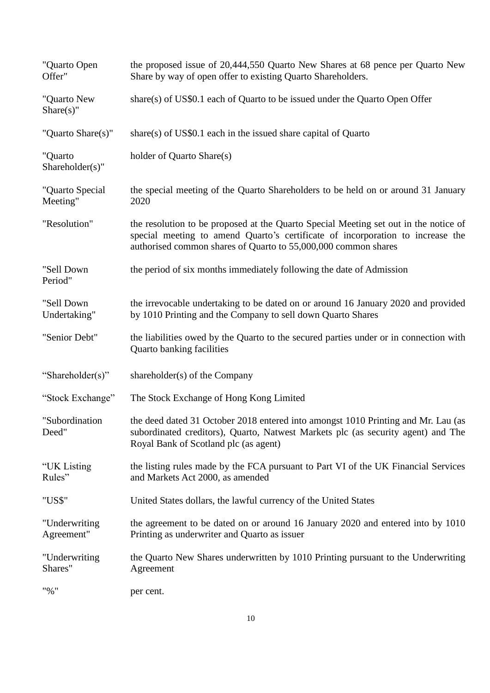| "Quarto Open<br>Offer"      | the proposed issue of 20,444,550 Quarto New Shares at 68 pence per Quarto New<br>Share by way of open offer to existing Quarto Shareholders.                                                                                             |
|-----------------------------|------------------------------------------------------------------------------------------------------------------------------------------------------------------------------------------------------------------------------------------|
| "Quarto New<br>$Share(s)$ " | share(s) of US\$0.1 each of Quarto to be issued under the Quarto Open Offer                                                                                                                                                              |
| "Quarto Share(s)"           | share(s) of $US$0.1$ each in the issued share capital of Quarto                                                                                                                                                                          |
| "Quarto<br>Shareholder(s)"  | holder of Quarto Share(s)                                                                                                                                                                                                                |
| "Quarto Special<br>Meeting" | the special meeting of the Quarto Shareholders to be held on or around 31 January<br>2020                                                                                                                                                |
| "Resolution"                | the resolution to be proposed at the Quarto Special Meeting set out in the notice of<br>special meeting to amend Quarto's certificate of incorporation to increase the<br>authorised common shares of Quarto to 55,000,000 common shares |
| "Sell Down<br>Period"       | the period of six months immediately following the date of Admission                                                                                                                                                                     |
| "Sell Down<br>Undertaking"  | the irrevocable undertaking to be dated on or around 16 January 2020 and provided<br>by 1010 Printing and the Company to sell down Quarto Shares                                                                                         |
| "Senior Debt"               | the liabilities owed by the Quarto to the secured parties under or in connection with<br>Quarto banking facilities                                                                                                                       |
| "Shareholder(s)"            | shareholder(s) of the Company                                                                                                                                                                                                            |
| "Stock Exchange"            | The Stock Exchange of Hong Kong Limited                                                                                                                                                                                                  |
| "Subordination<br>Deed"     | the deed dated 31 October 2018 entered into amongst 1010 Printing and Mr. Lau (as<br>subordinated creditors), Quarto, Natwest Markets plc (as security agent) and The<br>Royal Bank of Scotland plc (as agent)                           |
| "UK Listing<br>Rules"       | the listing rules made by the FCA pursuant to Part VI of the UK Financial Services<br>and Markets Act 2000, as amended                                                                                                                   |
| "US\$"                      | United States dollars, the lawful currency of the United States                                                                                                                                                                          |
| "Underwriting<br>Agreement" | the agreement to be dated on or around 16 January 2020 and entered into by 1010<br>Printing as underwriter and Quarto as issuer                                                                                                          |
| "Underwriting<br>Shares"    | the Quarto New Shares underwritten by 1010 Printing pursuant to the Underwriting<br>Agreement                                                                                                                                            |
| "%"                         | per cent.                                                                                                                                                                                                                                |